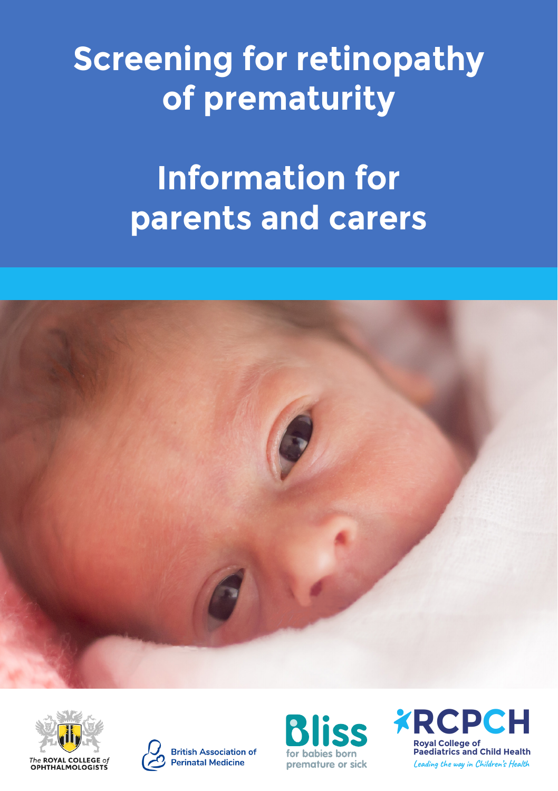# **Screening for retinopathy of prematurity**

## **Information for parents and carers**







**British Association of Perinatal Medicine** 



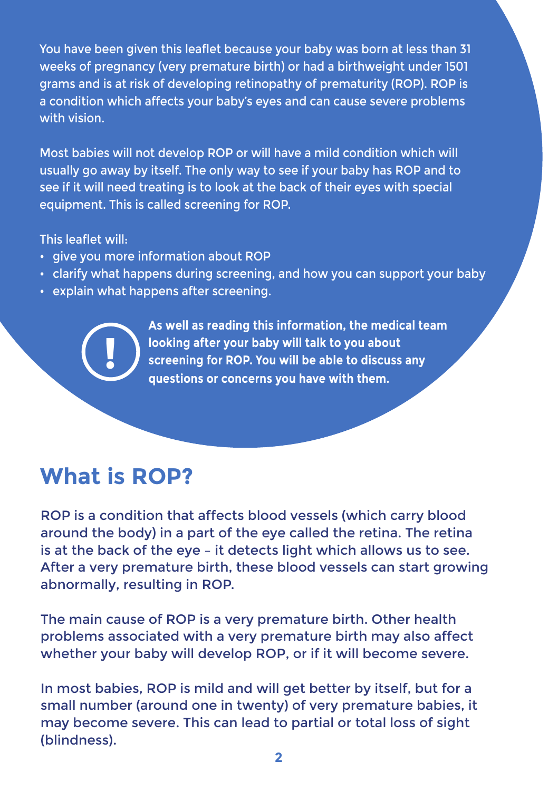You have been given this leaflet because your baby was born at less than 31 weeks of pregnancy (very premature birth) or had a birthweight under 1501 grams and is at risk of developing retinopathy of prematurity (ROP). ROP is a condition which affects your baby's eyes and can cause severe problems with vision.

Most babies will not develop ROP or will have a mild condition which will usually go away by itself. The only way to see if your baby has ROP and to see if it will need treating is to look at the back of their eyes with special equipment. This is called screening for ROP.

This leaflet will:

- give you more information about ROP
- clarify what happens during screening, and how you can support your baby
- explain what happens after screening.

**As well as reading this information, the medical team looking after your baby will talk to you about screening for ROP. You will be able to discuss any questions or concerns you have with them.** 

#### **What is ROP?**

**!**

ROP is a condition that affects blood vessels (which carry blood around the body) in a part of the eye called the retina. The retina is at the back of the eye – it detects light which allows us to see. After a very premature birth, these blood vessels can start growing abnormally, resulting in ROP.

The main cause of ROP is a very premature birth. Other health problems associated with a very premature birth may also affect whether your baby will develop ROP, or if it will become severe.

In most babies, ROP is mild and will get better by itself, but for a small number (around one in twenty) of very premature babies, it may become severe. This can lead to partial or total loss of sight (blindness).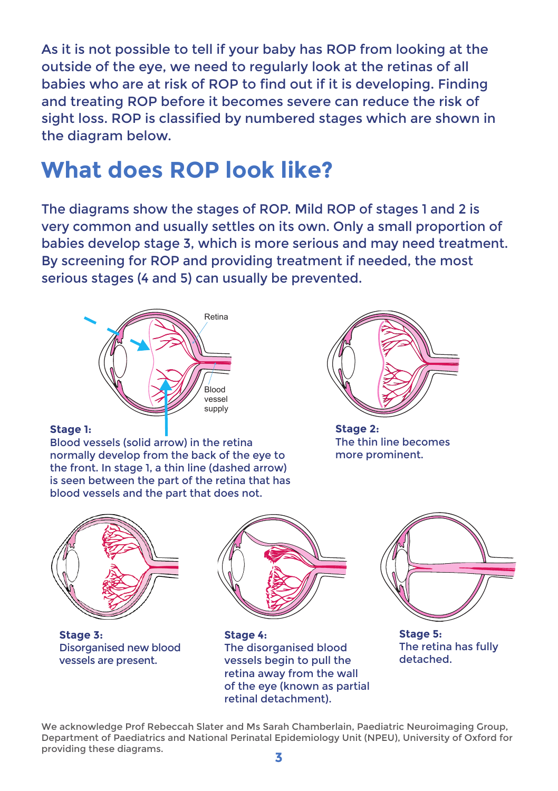As it is not possible to tell if your baby has ROP from looking at the outside of the eye, we need to regularly look at the retinas of all babies who are at risk of ROP to find out if it is developing. Finding and treating ROP before it becomes severe can reduce the risk of sight loss. ROP is classified by numbered stages which are shown in the diagram below.

#### **What does ROP look like?**

The diagrams show the stages of ROP. Mild ROP of stages 1 and 2 is very common and usually settles on its own. Only a small proportion of babies develop stage 3, which is more serious and may need treatment. By screening for ROP and providing treatment if needed, the most serious stages (4 and 5) can usually be prevented.



#### **Stage 1:**

Blood vessels (solid arrow) in the retina normally develop from the back of the eye to the front. In stage 1, a thin line (dashed arrow) is seen between the part of the retina that has blood vessels and the part that does not.



**Stage 2:** The thin line becomes more prominent.



We acknowledge Prof Rebeccah Slater and Ms Sarah Chamberlain, Paediatric Neuroimaging Group, Department of Paediatrics and National Perinatal Epidemiology Unit (NPEU), University of Oxford for providing these diagrams.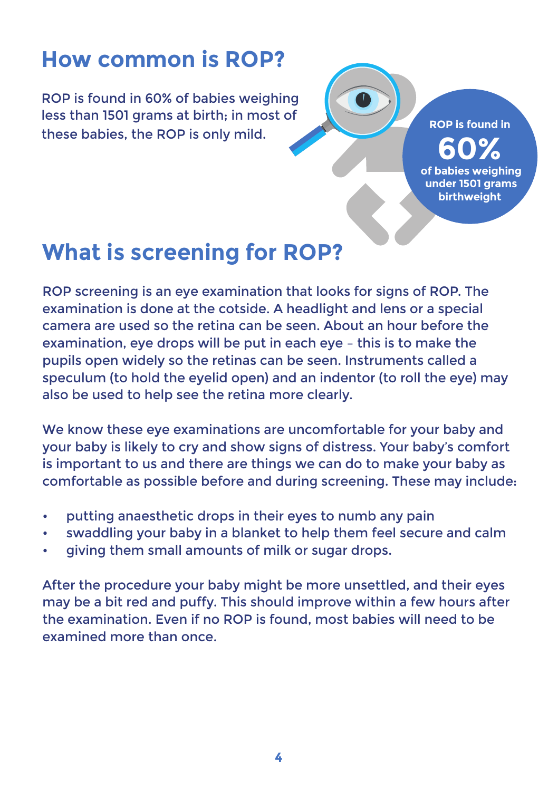#### **How common is ROP?**

ROP is found in 60% of babies weighing less than 1501 grams at birth; in most of these babies, the ROP is only mild.

**ROP is found in 60% of babies weighing under 1501 grams birthweight** 

#### **What is screening for ROP?**

ROP screening is an eye examination that looks for signs of ROP. The examination is done at the cotside. A headlight and lens or a special camera are used so the retina can be seen. About an hour before the examination, eye drops will be put in each eye – this is to make the pupils open widely so the retinas can be seen. Instruments called a speculum (to hold the eyelid open) and an indentor (to roll the eye) may also be used to help see the retina more clearly.

We know these eye examinations are uncomfortable for your baby and your baby is likely to cry and show signs of distress. Your baby's comfort is important to us and there are things we can do to make your baby as comfortable as possible before and during screening. These may include:

- putting anaesthetic drops in their eyes to numb any pain
- swaddling your baby in a blanket to help them feel secure and calm
- giving them small amounts of milk or sugar drops.

After the procedure your baby might be more unsettled, and their eyes may be a bit red and puffy. This should improve within a few hours after the examination. Even if no ROP is found, most babies will need to be examined more than once.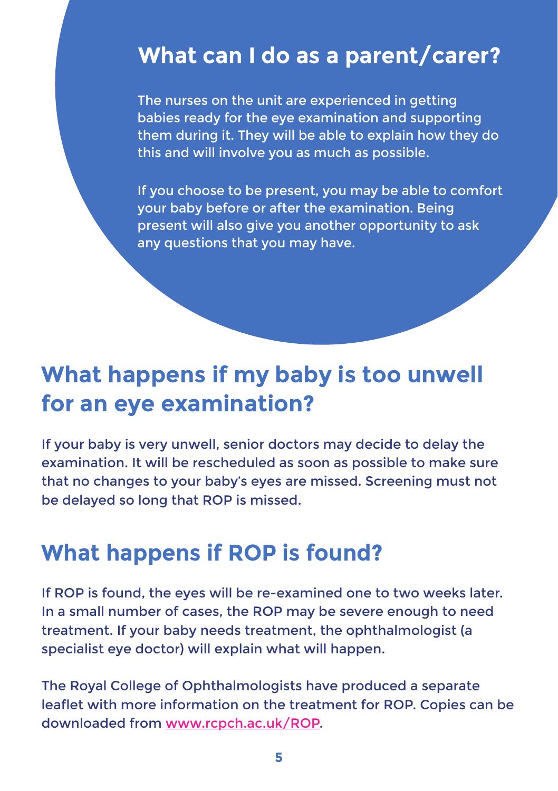#### **.What can I do as a parent/carer?**

The nurses on the unit are experienced in getting babies ready for the eye examination and supporting them during it. They will be able to explain how they do this and will involve you as much as possible.

If you choose to be present, you may be able to comfort your baby before or after the examination. Being present will also give you another opportunity to ask any questions that you may have.

#### **What happens if my baby is too unwell for an eye examination?**

If your baby is very unwell, senior doctors may decide to delay the examination. It will be rescheduled as soon as possible to make sure that no changes to your baby's eyes are missed. Screening must not be delayed so long that ROP is missed.

#### **What happens if ROP is found?**

If ROP is found, the eyes will be re-examined one to two weeks later. In a small number of cases, the ROP may be severe enough to need treatment. If your baby needs treatment, the ophthalmologist (a specialist eye doctor) will explain what will happen.

The Royal College of Ophthalmologists have produced a separate leaflet with more information on the treatment for ROP. Copies can be downloaded from [www.rcpch.ac.uk/ROP](https://www.rcophth.ac.uk/wp-content/uploads/2022/02/ROP_Information_Leaflet.pdf).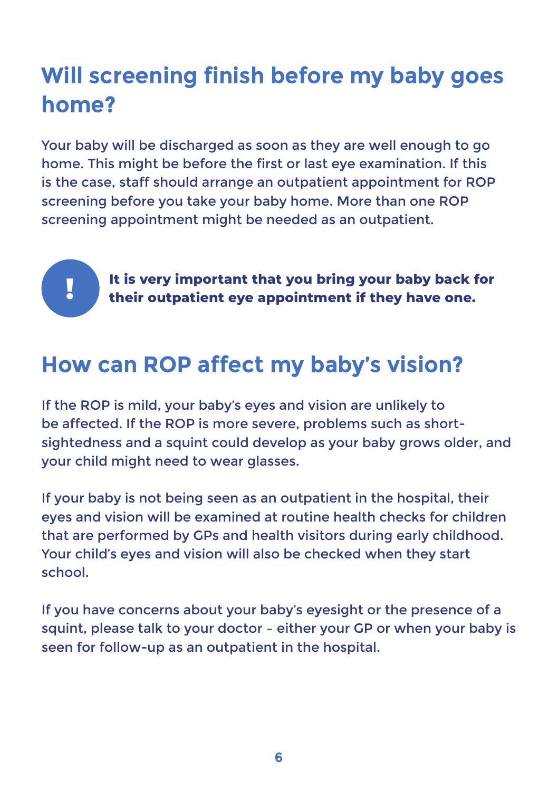### **Will screening finish before my baby goes home?**

Your baby will be discharged as soon as they are well enough to go home. This might be before the first or last eye examination. If this is the case, staff should arrange an outpatient appointment for ROP screening before you take your baby home. More than one ROP screening appointment might be needed as an outpatient.

**!**

**It is very important that you bring your baby back for their outpatient eye appointment if they have one.**

#### **How can ROP affect my baby's vision?**

If the ROP is mild, your baby's eyes and vision are unlikely to be affected. If the ROP is more severe, problems such as shortsightedness and a squint could develop as your baby grows older, and your child might need to wear glasses.

If your baby is not being seen as an outpatient in the hospital, their eyes and vision will be examined at routine health checks for children that are performed by GPs and health visitors during early childhood. Your child's eyes and vision will also be checked when they start school.

If you have concerns about your baby's eyesight or the presence of a squint, please talk to your doctor – either your GP or when your baby is seen for follow-up as an outpatient in the hospital.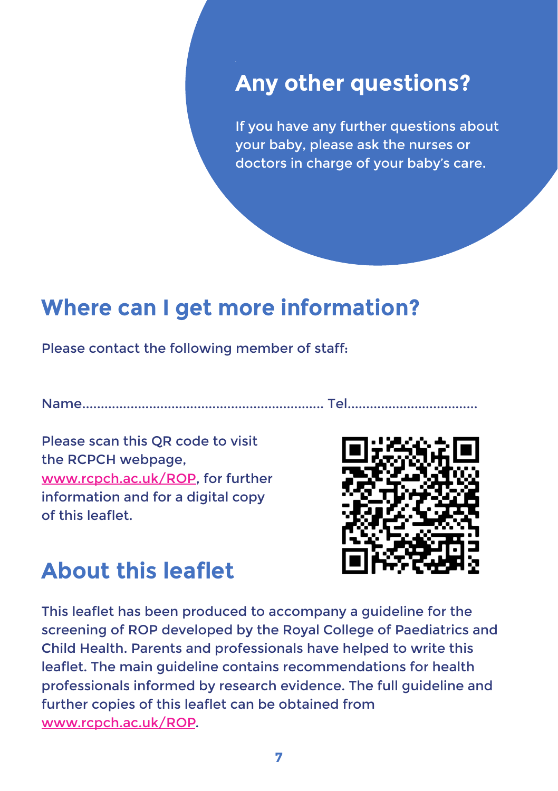#### **Any other questions?**

If you have any further questions about your baby, please ask the nurses or doctors in charge of your baby's care.

#### **Where can I get more information?**

Please contact the following member of staff:

Name................................................................. Tel...................................

Please scan this QR code to visit the RCPCH webpage, [www.rcpch.ac.uk/ROP,](http://www.rcpch.ac.uk/ROP) for further information and for a digital copy of this leaflet.



#### **About this leaflet**

This leaflet has been produced to accompany a guideline for the screening of ROP developed by the Royal College of Paediatrics and Child Health. Parents and professionals have helped to write this leaflet. The main guideline contains recommendations for health professionals informed by research evidence. The full guideline and further copies of this leaflet can be obtained from [www.rcpch.ac.uk/ROP.](http://www.rcpch.ac.uk/ROP)